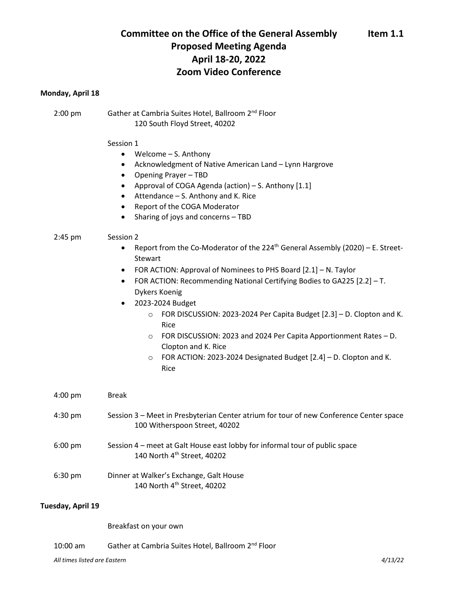# **Committee on the Office of the General Assembly Item 1.1 Proposed Meeting Agenda April 18-20, 2022 Zoom Video Conference**

## **Monday, April 18**

2:00 pm Gather at Cambria Suites Hotel, Ballroom 2<sup>nd</sup> Floor 120 South Floyd Street, 40202

### Session 1

- Welcome S. Anthony
- Acknowledgment of Native American Land Lynn Hargrove
- Opening Prayer TBD
- Approval of COGA Agenda (action) S. Anthony [1.1]
- Attendance S. Anthony and K. Rice
- Report of the COGA Moderator
- Sharing of joys and concerns TBD

### 2:45 pm Session 2

- Report from the Co-Moderator of the 224<sup>th</sup> General Assembly (2020) E. Street-Stewart
- FOR ACTION: Approval of Nominees to PHS Board [2.1] N. Taylor
- FOR ACTION: Recommending National Certifying Bodies to GA225 [2.2] T. Dykers Koenig
- 2023-2024 Budget
	- o FOR DISCUSSION: 2023-2024 Per Capita Budget [2.3] D. Clopton and K. Rice
	- o FOR DISCUSSION: 2023 and 2024 Per Capita Apportionment Rates D. Clopton and K. Rice
	- o FOR ACTION: 2023-2024 Designated Budget [2.4] D. Clopton and K. Rice

| $4:00 \text{ pm}$ | Break                                                                                                                   |
|-------------------|-------------------------------------------------------------------------------------------------------------------------|
| $4:30 \text{ pm}$ | Session 3 – Meet in Presbyterian Center atrium for tour of new Conference Center space<br>100 Witherspoon Street, 40202 |
| $6:00 \text{ pm}$ | Session 4 – meet at Galt House east lobby for informal tour of public space<br>140 North 4 <sup>th</sup> Street, 40202  |
| $6:30 \text{ pm}$ | Dinner at Walker's Exchange, Galt House<br>140 North 4 <sup>th</sup> Street, 40202                                      |

### **Tuesday, April 19**

Breakfast on your own

10:00 am Gather at Cambria Suites Hotel, Ballroom 2<sup>nd</sup> Floor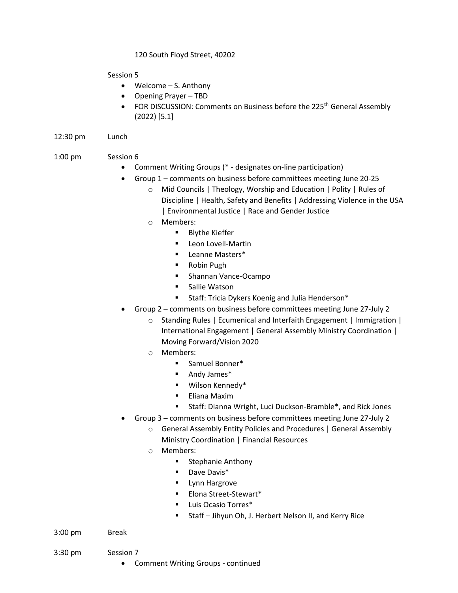# 120 South Floyd Street, 40202

Session 5

- Welcome S. Anthony
- Opening Prayer TBD
- FOR DISCUSSION: Comments on Business before the 225<sup>th</sup> General Assembly (2022) [5.1]
- 12:30 pm Lunch

# 1:00 pm Session 6

- Comment Writing Groups (\* designates on-line participation)
- Group 1 comments on business before committees meeting June 20-25
	- o Mid Councils | Theology, Worship and Education | Polity | Rules of Discipline | Health, Safety and Benefits | Addressing Violence in the USA | Environmental Justice | Race and Gender Justice
	- o Members:
		- **Blythe Kieffer**
		- **Leon Lovell-Martin**
		- **E** Leanne Masters\*
		- Robin Pugh
		- **Shannan Vance-Ocampo**
		- Sallie Watson
		- **Staff: Tricia Dykers Koenig and Julia Henderson\***
- Group 2 comments on business before committees meeting June 27-July 2
	- o Standing Rules | Ecumenical and Interfaith Engagement | Immigration | International Engagement | General Assembly Ministry Coordination | Moving Forward/Vision 2020
	- o Members:
		- Samuel Bonner\*
		- Andy James\*
		- Wilson Kennedy\*
		- **Eliana Maxim**
		- Staff: Dianna Wright, Luci Duckson-Bramble\*, and Rick Jones
- Group 3 comments on business before committees meeting June 27-July 2
	- o General Assembly Entity Policies and Procedures | General Assembly Ministry Coordination | Financial Resources
	- o Members:
		- **Stephanie Anthony**
		- **Dave Davis\***
		- **Lynn Hargrove**
		- **Elona Street-Stewart\***
		- **Luis Ocasio Torres\***
		- Staff Jihyun Oh, J. Herbert Nelson II, and Kerry Rice
- 3:00 pm Break
	-
- 3:30 pm Session 7
	- Comment Writing Groups continued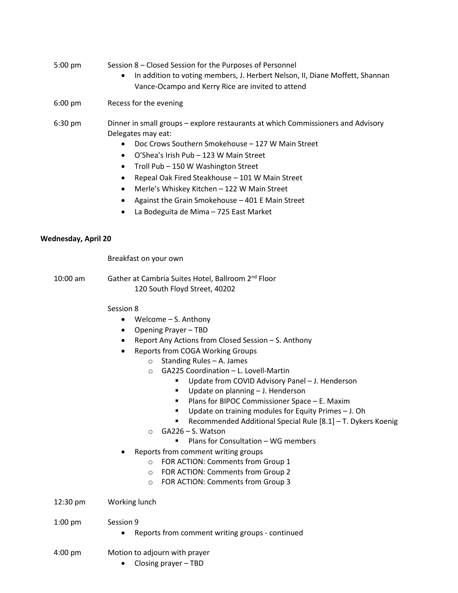## 5:00 pm Session 8 – Closed Session for the Purposes of Personnel

- In addition to voting members, J. Herbert Nelson, II, Diane Moffett, Shannan Vance-Ocampo and Kerry Rice are invited to attend
- 6:00 pm Recess for the evening
- 6:30 pm Dinner in small groups explore restaurants at which Commissioners and Advisory Delegates may eat:
	- Doc Crows Southern Smokehouse 127 W Main Street
	- O'Shea's Irish Pub 123 W Main Street
	- Troll Pub 150 W Washington Street
	- Repeal Oak Fired Steakhouse 101 W Main Street
	- Merle's Whiskey Kitchen 122 W Main Street
	- Against the Grain Smokehouse 401 E Main Street
	- La Bodeguita de Mima 725 East Market

## **Wednesday, April 20**

Breakfast on your own

10:00 am Gather at Cambria Suites Hotel, Ballroom 2nd Floor 120 South Floyd Street, 40202

## Session 8

- Welcome S. Anthony
- Opening Prayer TBD
- Report Any Actions from Closed Session S. Anthony
- Reports from COGA Working Groups
	- o Standing Rules A. James
	- o GA225 Coordination L. Lovell-Martin
		- Update from COVID Advisory Panel J. Henderson
		- Update on planning J. Henderson
		- Plans for BIPOC Commissioner Space E. Maxim
		- Update on training modules for Equity Primes J. Oh
		- Recommended Additional Special Rule [8.1] T. Dykers Koenig
	- o GA226 S. Watson
		- **Plans for Consultation WG members**
- Reports from comment writing groups
	- o FOR ACTION: Comments from Group 1
	- o FOR ACTION: Comments from Group 2
	- o FOR ACTION: Comments from Group 3
- 12:30 pm Working lunch
- 1:00 pm Session 9
	- Reports from comment writing groups continued
- 4:00 pm Motion to adjourn with prayer
	- Closing prayer TBD